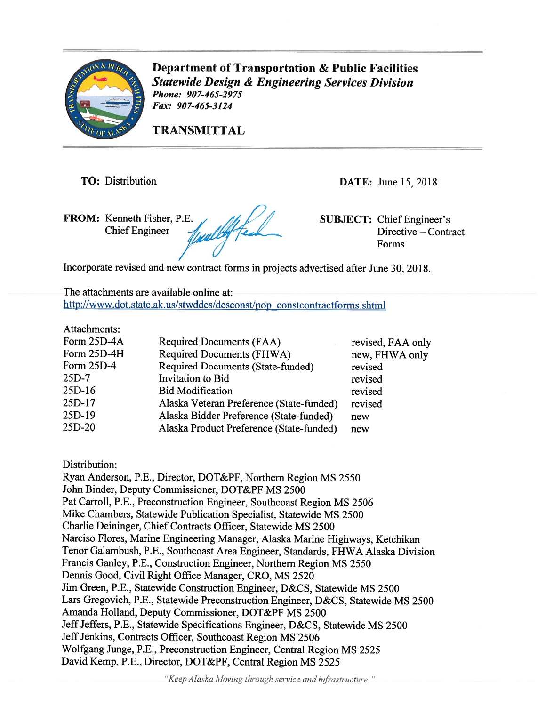

Department of Transportation & Public facilities Statewide Design & Engineering Services Division Phone: 907-465-2975 fax: 907-465-3124

TRANSMITTAL

TO: Distribution DATE: June 15, 2018

FROM: Kenneth Fisher, P.E.<br>Chief Engineer (United SUBJECT: Chief Engineer's Directive – Contr **Chief Engineer** 

Directive – Contract Forms

Incorporate revised and new contract forms in projects advertised after June 30, 2018.

The attachments are available online at: http://www.dot.state.ak.us/stwddes/dcsconst/pop\_constcontractforms.shtml

| Attachments: |                                          |                   |
|--------------|------------------------------------------|-------------------|
| Form 25D-4A  | Required Documents (FAA)                 | revised, FAA only |
| Form 25D-4H  | Required Documents (FHWA)                | new, FHWA only    |
| Form 25D-4   | <b>Required Documents (State-funded)</b> | revised           |
| $25D-7$      | Invitation to Bid                        | revised           |
| $25D-16$     | <b>Bid Modification</b>                  | revised           |
| 25D-17       | Alaska Veteran Preference (State-funded) | revised           |
| 25D-19       | Alaska Bidder Preference (State-funded)  | new               |
| 25D-20       | Alaska Product Preference (State-funded) | new               |
|              |                                          |                   |

Distribution:

Ryan Anderson, P.E., Director, DOT&PF, Northern Region MS <sup>2550</sup> John Binder, Deputy Commissioner, DOT&PF MS 2500 Pat Carroll, P.E., Preconstruction Engineer, Southcoast Region MS 2506 Mike Chambers, Statewide Publication Specialist, Statewide MS 2500 Charlie Deininger, Chief Contracts Officer, Statewide MS 2500 Narciso Flores, Marine Engineering Manager, Alaska Marine Highways, Ketchikan Tenor Galambush, RE., Southcoast Area Engineer, Standards, FHWA Alaska Division Francis Ganley, P.E., Construction Engineer, Northern Region MS <sup>2550</sup> Dennis Good, Civil Right Office Manager, CR0, MS 2520 Jim Green, P.E., Statewide Construction Engineer, D&CS, Statewide MS 2500 Lars Gregovich, P.E., Statewide Preconstruction Engineer, D&CS, Statewide MS 2500 Amanda Holland, Deputy Commissioner, DOT&PF MS 2500 Jeff Jeffers, P.E., Statewide Specifications Engineer, D&CS, Statewide MS 2500 Jeff Jenkins, Contracts Officer, Southcoast Region MS 2506 Wolfgang Junge, P.E., Preconstruction Engineer, Central Region MS <sup>2525</sup> David Kemp, P.E., Director, DOT&PF, Central Region MS 2525

"Keep Alaska Moving through service and infrastructure."